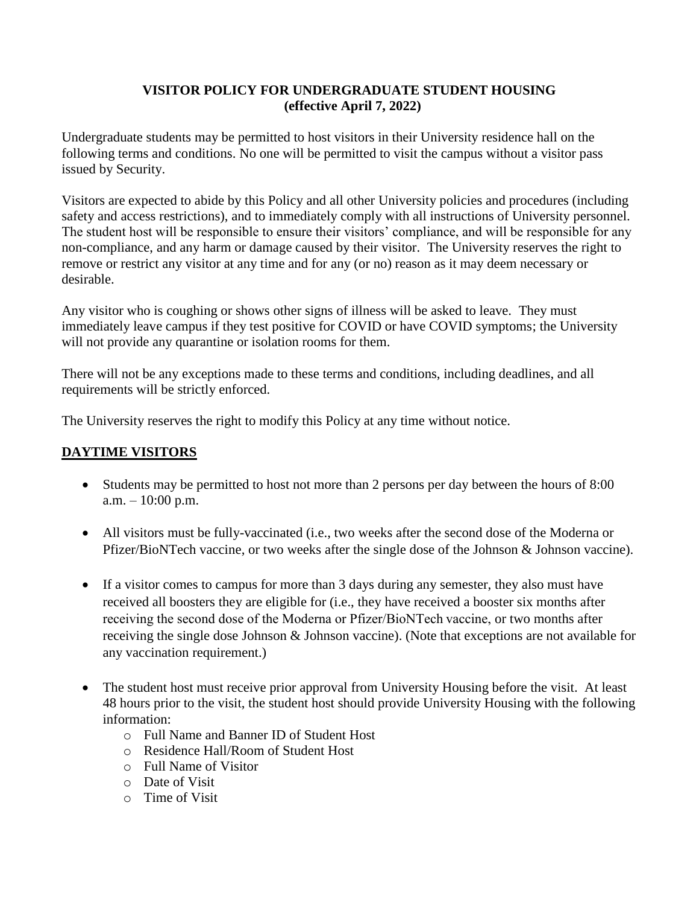### **VISITOR POLICY FOR UNDERGRADUATE STUDENT HOUSING (effective April 7, 2022)**

Undergraduate students may be permitted to host visitors in their University residence hall on the following terms and conditions. No one will be permitted to visit the campus without a visitor pass issued by Security.

Visitors are expected to abide by this Policy and all other University policies and procedures (including safety and access restrictions), and to immediately comply with all instructions of University personnel. The student host will be responsible to ensure their visitors' compliance, and will be responsible for any non-compliance, and any harm or damage caused by their visitor. The University reserves the right to remove or restrict any visitor at any time and for any (or no) reason as it may deem necessary or desirable.

Any visitor who is coughing or shows other signs of illness will be asked to leave. They must immediately leave campus if they test positive for COVID or have COVID symptoms; the University will not provide any quarantine or isolation rooms for them.

There will not be any exceptions made to these terms and conditions, including deadlines, and all requirements will be strictly enforced.

The University reserves the right to modify this Policy at any time without notice.

# **DAYTIME VISITORS**

- Students may be permitted to host not more than 2 persons per day between the hours of 8:00  $a.m. - 10:00 p.m.$
- All visitors must be fully-vaccinated (i.e., two weeks after the second dose of the Moderna or Pfizer/BioNTech vaccine, or two weeks after the single dose of the Johnson & Johnson vaccine).
- If a visitor comes to campus for more than 3 days during any semester, they also must have received all boosters they are eligible for (i.e., they have received a booster six months after receiving the second dose of the Moderna or Pfizer/BioNTech vaccine, or two months after receiving the single dose Johnson & Johnson vaccine). (Note that exceptions are not available for any vaccination requirement.)
- The student host must receive prior approval from University Housing before the visit. At least 48 hours prior to the visit, the student host should provide University Housing with the following information:
	- o Full Name and Banner ID of Student Host
	- o Residence Hall/Room of Student Host
	- o Full Name of Visitor
	- o Date of Visit
	- o Time of Visit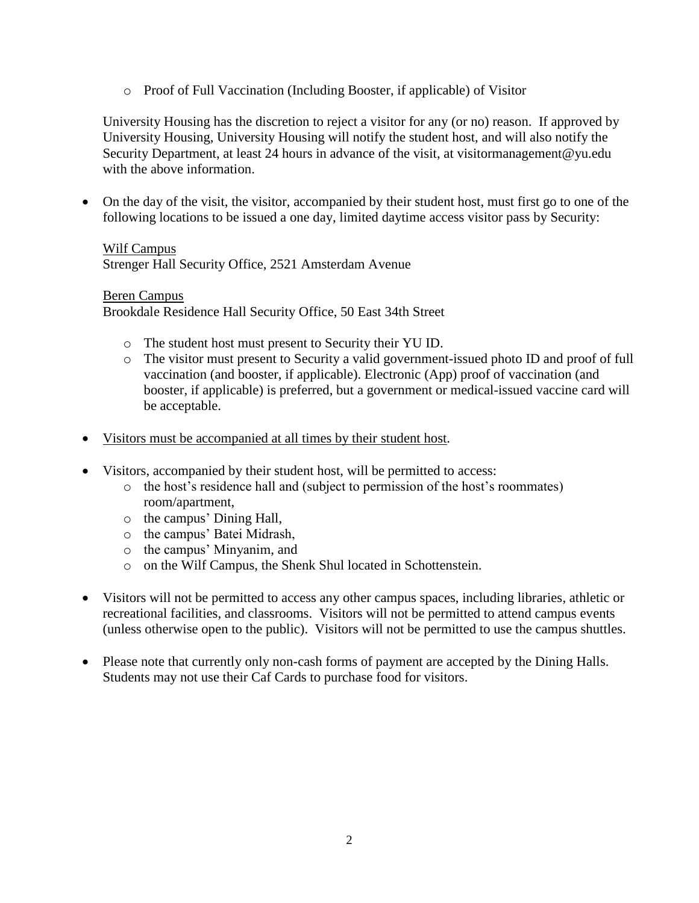o Proof of Full Vaccination (Including Booster, if applicable) of Visitor

University Housing has the discretion to reject a visitor for any (or no) reason. If approved by University Housing, University Housing will notify the student host, and will also notify the Security Department, at least 24 hours in advance of the visit, at visitormanagement@yu.edu with the above information.

• On the day of the visit, the visitor, accompanied by their student host, must first go to one of the following locations to be issued a one day, limited daytime access visitor pass by Security:

### Wilf Campus

Strenger Hall Security Office, 2521 Amsterdam Avenue

#### Beren Campus

Brookdale Residence Hall Security Office, 50 East 34th Street

- o The student host must present to Security their YU ID.
- o The visitor must present to Security a valid government-issued photo ID and proof of full vaccination (and booster, if applicable). Electronic (App) proof of vaccination (and booster, if applicable) is preferred, but a government or medical-issued vaccine card will be acceptable.
- Visitors must be accompanied at all times by their student host.
- Visitors, accompanied by their student host, will be permitted to access:
	- o the host's residence hall and (subject to permission of the host's roommates) room/apartment,
	- o the campus' Dining Hall,
	- o the campus' Batei Midrash,
	- o the campus' Minyanim, and
	- o on the Wilf Campus, the Shenk Shul located in Schottenstein.
- Visitors will not be permitted to access any other campus spaces, including libraries, athletic or recreational facilities, and classrooms. Visitors will not be permitted to attend campus events (unless otherwise open to the public). Visitors will not be permitted to use the campus shuttles.
- Please note that currently only non-cash forms of payment are accepted by the Dining Halls. Students may not use their Caf Cards to purchase food for visitors.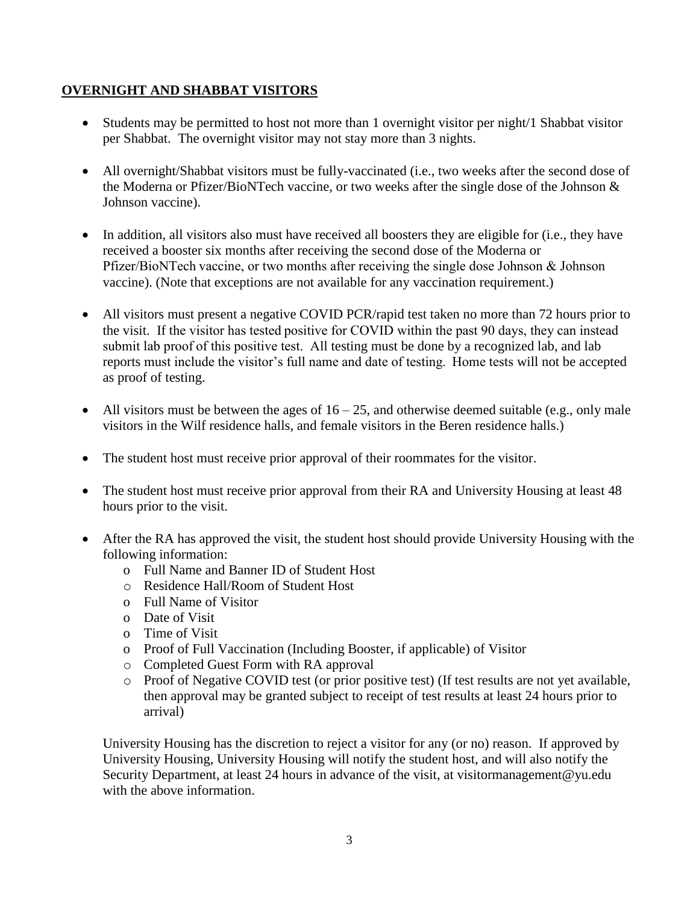## **OVERNIGHT AND SHABBAT VISITORS**

- Students may be permitted to host not more than 1 overnight visitor per night/1 Shabbat visitor per Shabbat. The overnight visitor may not stay more than 3 nights.
- All overnight/Shabbat visitors must be fully-vaccinated (i.e., two weeks after the second dose of the Moderna or Pfizer/BioNTech vaccine, or two weeks after the single dose of the Johnson & Johnson vaccine).
- In addition, all visitors also must have received all boosters they are eligible for (i.e., they have received a booster six months after receiving the second dose of the Moderna or Pfizer/BioNTech vaccine, or two months after receiving the single dose Johnson & Johnson vaccine). (Note that exceptions are not available for any vaccination requirement.)
- All visitors must present a negative COVID PCR/rapid test taken no more than 72 hours prior to the visit. If the visitor has tested positive for COVID within the past 90 days, they can instead submit lab proof of this positive test. All testing must be done by a recognized lab, and lab reports must include the visitor's full name and date of testing.  Home tests will not be accepted as proof of testing.
- All visitors must be between the ages of  $16 25$ , and otherwise deemed suitable (e.g., only male visitors in the Wilf residence halls, and female visitors in the Beren residence halls.)
- The student host must receive prior approval of their roommates for the visitor.
- The student host must receive prior approval from their RA and University Housing at least 48 hours prior to the visit.
- After the RA has approved the visit, the student host should provide University Housing with the following information:
	- o Full Name and Banner ID of Student Host
	- o Residence Hall/Room of Student Host
	- o Full Name of Visitor
	- o Date of Visit
	- o Time of Visit
	- o Proof of Full Vaccination (Including Booster, if applicable) of Visitor
	- o Completed Guest Form with RA approval
	- o Proof of Negative COVID test (or prior positive test) (If test results are not yet available, then approval may be granted subject to receipt of test results at least 24 hours prior to arrival)

University Housing has the discretion to reject a visitor for any (or no) reason. If approved by University Housing, University Housing will notify the student host, and will also notify the Security Department, at least 24 hours in advance of the visit, at visitormanagement@yu.edu with the above information.